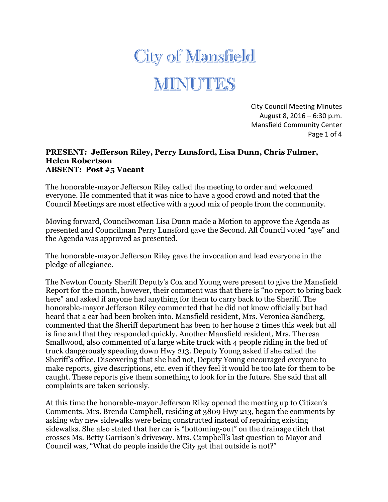## **City of Mansfield** MINUTES

City Council Meeting Minutes August 8, 2016 – 6:30 p.m. Mansfield Community Center Page 1 of 4

## **PRESENT: Jefferson Riley, Perry Lunsford, Lisa Dunn, Chris Fulmer, Helen Robertson ABSENT: Post #5 Vacant**

The honorable-mayor Jefferson Riley called the meeting to order and welcomed everyone. He commented that it was nice to have a good crowd and noted that the Council Meetings are most effective with a good mix of people from the community.

Moving forward, Councilwoman Lisa Dunn made a Motion to approve the Agenda as presented and Councilman Perry Lunsford gave the Second. All Council voted "aye" and the Agenda was approved as presented.

The honorable-mayor Jefferson Riley gave the invocation and lead everyone in the pledge of allegiance.

The Newton County Sheriff Deputy's Cox and Young were present to give the Mansfield Report for the month, however, their comment was that there is "no report to bring back here" and asked if anyone had anything for them to carry back to the Sheriff. The honorable-mayor Jefferson Riley commented that he did not know officially but had heard that a car had been broken into. Mansfield resident, Mrs. Veronica Sandberg, commented that the Sheriff department has been to her house 2 times this week but all is fine and that they responded quickly. Another Mansfield resident, Mrs. Theresa Smallwood, also commented of a large white truck with 4 people riding in the bed of truck dangerously speeding down Hwy 213. Deputy Young asked if she called the Sheriff's office. Discovering that she had not, Deputy Young encouraged everyone to make reports, give descriptions, etc. even if they feel it would be too late for them to be caught. These reports give them something to look for in the future. She said that all complaints are taken seriously.

At this time the honorable-mayor Jefferson Riley opened the meeting up to Citizen's Comments. Mrs. Brenda Campbell, residing at 3809 Hwy 213, began the comments by asking why new sidewalks were being constructed instead of repairing existing sidewalks. She also stated that her car is "bottoming-out" on the drainage ditch that crosses Ms. Betty Garrison's driveway. Mrs. Campbell's last question to Mayor and Council was, "What do people inside the City get that outside is not?"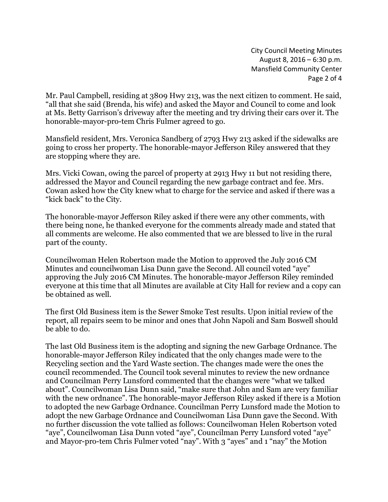City Council Meeting Minutes August 8, 2016 – 6:30 p.m. Mansfield Community Center Page 2 of 4

Mr. Paul Campbell, residing at 3809 Hwy 213, was the next citizen to comment. He said, "all that she said (Brenda, his wife) and asked the Mayor and Council to come and look at Ms. Betty Garrison's driveway after the meeting and try driving their cars over it. The honorable-mayor-pro-tem Chris Fulmer agreed to go.

Mansfield resident, Mrs. Veronica Sandberg of 2793 Hwy 213 asked if the sidewalks are going to cross her property. The honorable-mayor Jefferson Riley answered that they are stopping where they are.

Mrs. Vicki Cowan, owing the parcel of property at 2913 Hwy 11 but not residing there, addressed the Mayor and Council regarding the new garbage contract and fee. Mrs. Cowan asked how the City knew what to charge for the service and asked if there was a "kick back" to the City.

The honorable-mayor Jefferson Riley asked if there were any other comments, with there being none, he thanked everyone for the comments already made and stated that all comments are welcome. He also commented that we are blessed to live in the rural part of the county.

Councilwoman Helen Robertson made the Motion to approved the July 2016 CM Minutes and councilwoman Lisa Dunn gave the Second. All council voted "aye" approving the July 2016 CM Minutes. The honorable-mayor Jefferson Riley reminded everyone at this time that all Minutes are available at City Hall for review and a copy can be obtained as well.

The first Old Business item is the Sewer Smoke Test results. Upon initial review of the report, all repairs seem to be minor and ones that John Napoli and Sam Boswell should be able to do.

The last Old Business item is the adopting and signing the new Garbage Ordnance. The honorable-mayor Jefferson Riley indicated that the only changes made were to the Recycling section and the Yard Waste section. The changes made were the ones the council recommended. The Council took several minutes to review the new ordnance and Councilman Perry Lunsford commented that the changes were "what we talked about". Councilwoman Lisa Dunn said, "make sure that John and Sam are very familiar with the new ordnance". The honorable-mayor Jefferson Riley asked if there is a Motion to adopted the new Garbage Ordnance. Councilman Perry Lunsford made the Motion to adopt the new Garbage Ordnance and Councilwoman Lisa Dunn gave the Second. With no further discussion the vote tallied as follows: Councilwoman Helen Robertson voted "aye", Councilwoman Lisa Dunn voted "aye", Councilman Perry Lunsford voted "aye" and Mayor-pro-tem Chris Fulmer voted "nay". With 3 "ayes" and 1 "nay" the Motion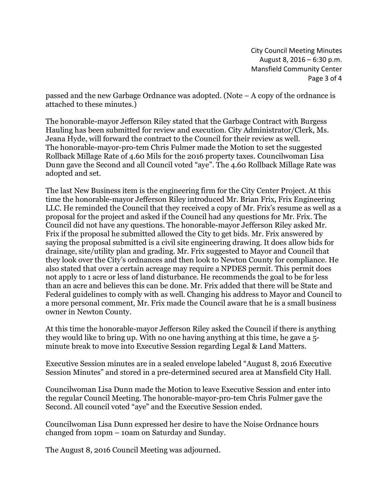City Council Meeting Minutes August 8, 2016 – 6:30 p.m. Mansfield Community Center Page 3 of 4

passed and the new Garbage Ordnance was adopted. (Note – A copy of the ordnance is attached to these minutes.)

The honorable-mayor Jefferson Riley stated that the Garbage Contract with Burgess Hauling has been submitted for review and execution. City Administrator/Clerk, Ms. Jeana Hyde, will forward the contract to the Council for their review as well. The honorable-mayor-pro-tem Chris Fulmer made the Motion to set the suggested Rollback Millage Rate of 4.60 Mils for the 2016 property taxes. Councilwoman Lisa Dunn gave the Second and all Council voted "aye". The 4.60 Rollback Millage Rate was adopted and set.

The last New Business item is the engineering firm for the City Center Project. At this time the honorable-mayor Jefferson Riley introduced Mr. Brian Frix, Frix Engineering LLC. He reminded the Council that they received a copy of Mr. Frix's resume as well as a proposal for the project and asked if the Council had any questions for Mr. Frix. The Council did not have any questions. The honorable-mayor Jefferson Riley asked Mr. Frix if the proposal he submitted allowed the City to get bids. Mr. Frix answered by saying the proposal submitted is a civil site engineering drawing. It does allow bids for drainage, site/utility plan and grading. Mr. Frix suggested to Mayor and Council that they look over the City's ordnances and then look to Newton County for compliance. He also stated that over a certain acreage may require a NPDES permit. This permit does not apply to 1 acre or less of land disturbance. He recommends the goal to be for less than an acre and believes this can be done. Mr. Frix added that there will be State and Federal guidelines to comply with as well. Changing his address to Mayor and Council to a more personal comment, Mr. Frix made the Council aware that he is a small business owner in Newton County.

At this time the honorable-mayor Jefferson Riley asked the Council if there is anything they would like to bring up. With no one having anything at this time, he gave a 5 minute break to move into Executive Session regarding Legal & Land Matters.

Executive Session minutes are in a sealed envelope labeled "August 8, 2016 Executive Session Minutes" and stored in a pre-determined secured area at Mansfield City Hall.

Councilwoman Lisa Dunn made the Motion to leave Executive Session and enter into the regular Council Meeting. The honorable-mayor-pro-tem Chris Fulmer gave the Second. All council voted "aye" and the Executive Session ended.

Councilwoman Lisa Dunn expressed her desire to have the Noise Ordnance hours changed from 10pm – 10am on Saturday and Sunday.

The August 8, 2016 Council Meeting was adjourned.